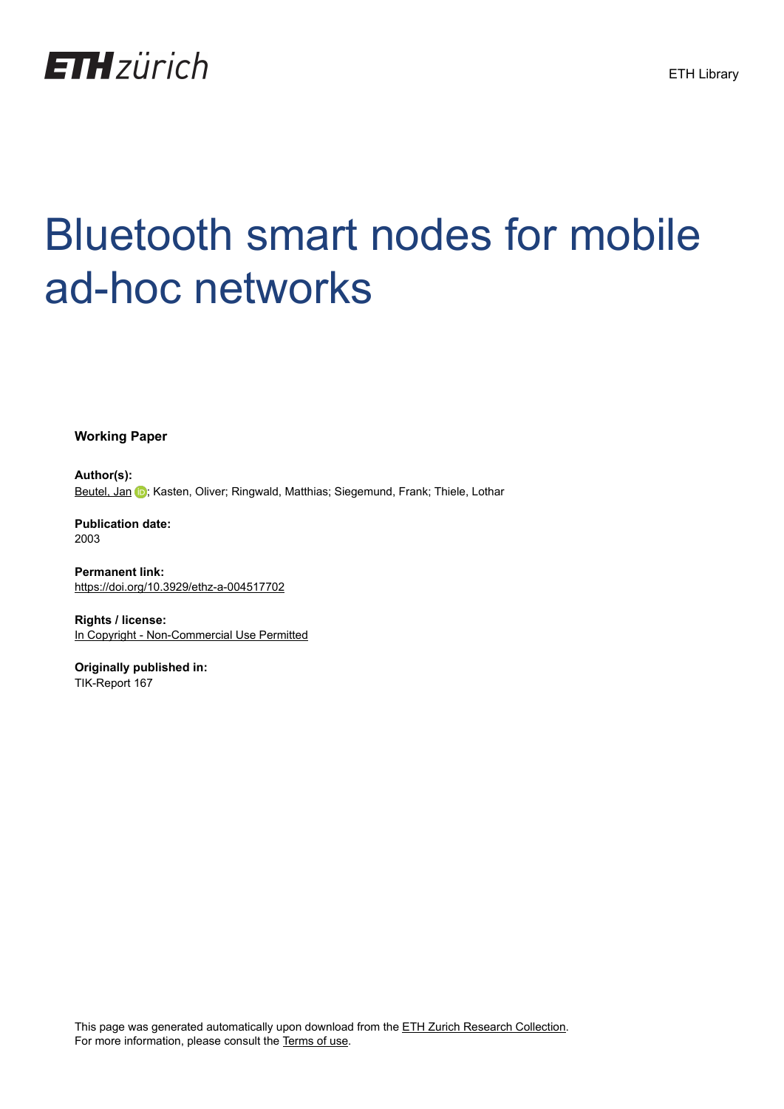

# Bluetooth smart nodes for mobile ad-hoc networks

**Working Paper**

**Author(s):** [Beutel, Jan](https://orcid.org/0000-0003-0879-2455) (D); Kasten, Oliver; Ringwald, Matthias; Siegemund, Frank; Thiele, Lothar

**Publication date:** 2003

**Permanent link:** <https://doi.org/10.3929/ethz-a-004517702>

**Rights / license:** [In Copyright - Non-Commercial Use Permitted](http://rightsstatements.org/page/InC-NC/1.0/)

**Originally published in:** TIK-Report 167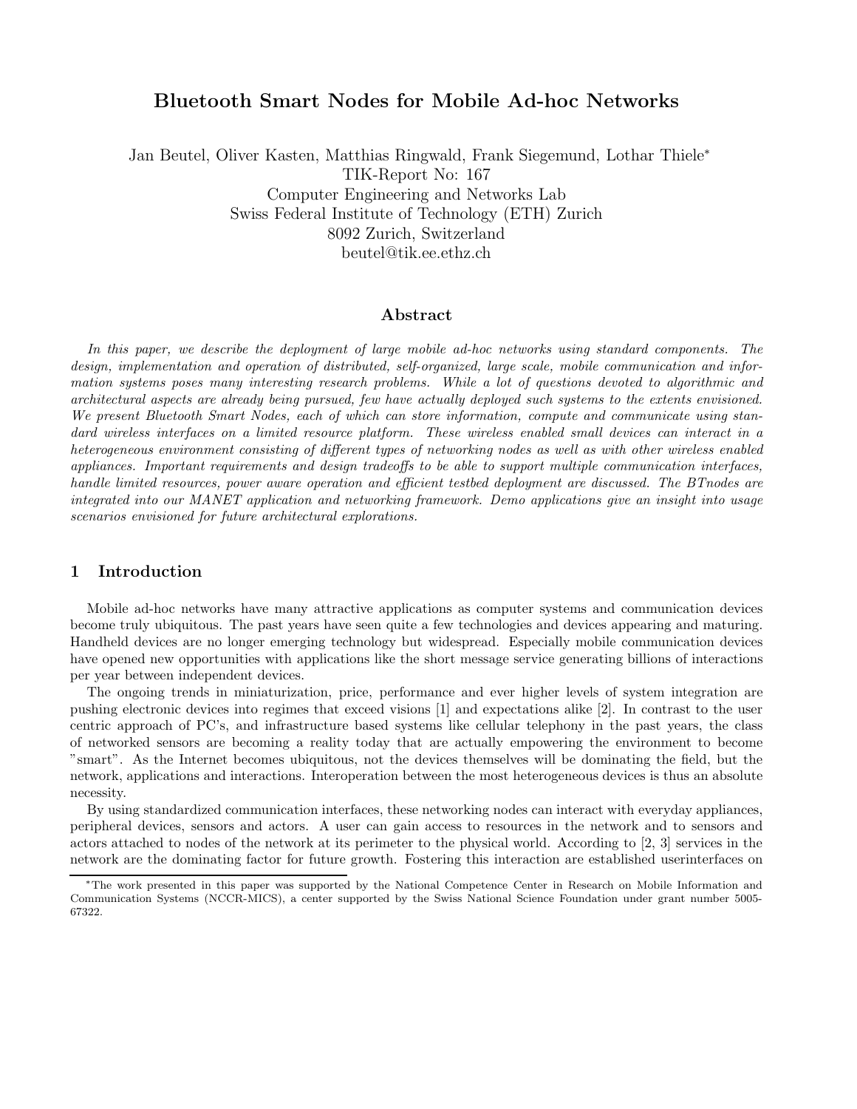# **Bluetooth Smart Nodes for Mobile Ad-hoc Networks**

Jan Beutel, Oliver Kasten, Matthias Ringwald, Frank Siegemund, Lothar Thiele<sup>∗</sup> TIK-Report No: 167 Computer Engineering and Networks Lab Swiss Federal Institute of Technology (ETH) Zurich 8092 Zurich, Switzerland beutel@tik.ee.ethz.ch

# **Abstract**

*In this paper, we describe the deployment of large mobile ad-hoc networks using standard components. The design, implementation and operation of distributed, self-organized, large scale, mobile communication and information systems poses many interesting research problems. While a lot of questions devoted to algorithmic and architectural aspects are already being pursued, few have actually deployed such systems to the extents envisioned. We present Bluetooth Smart Nodes, each of which can store information, compute and communicate using standard wireless interfaces on a limited resource platform. These wireless enabled small devices can interact in a heterogeneous environment consisting of different types of networking nodes as well as with other wireless enabled appliances. Important requirements and design tradeoffs to be able to support multiple communication interfaces, handle limited resources, power aware operation and efficient testbed deployment are discussed. The BTnodes are integrated into our MANET application and networking framework. Demo applications give an insight into usage scenarios envisioned for future architectural explorations.*

#### **1 Introduction**

Mobile ad-hoc networks have many attractive applications as computer systems and communication devices become truly ubiquitous. The past years have seen quite a few technologies and devices appearing and maturing. Handheld devices are no longer emerging technology but widespread. Especially mobile communication devices have opened new opportunities with applications like the short message service generating billions of interactions per year between independent devices.

The ongoing trends in miniaturization, price, performance and ever higher levels of system integration are pushing electronic devices into regimes that exceed visions [1] and expectations alike [2]. In contrast to the user centric approach of PC's, and infrastructure based systems like cellular telephony in the past years, the class of networked sensors are becoming a reality today that are actually empowering the environment to become "smart". As the Internet becomes ubiquitous, not the devices themselves will be dominating the field, but the network, applications and interactions. Interoperation between the most heterogeneous devices is thus an absolute necessity.

By using standardized communication interfaces, these networking nodes can interact with everyday appliances, peripheral devices, sensors and actors. A user can gain access to resources in the network and to sensors and actors attached to nodes of the network at its perimeter to the physical world. According to [2, 3] services in the network are the dominating factor for future growth. Fostering this interaction are established userinterfaces on

<sup>∗</sup>The work presented in this paper was supported by the National Competence Center in Research on Mobile Information and Communication Systems (NCCR-MICS), a center supported by the Swiss National Science Foundation under grant number 5005- 67322.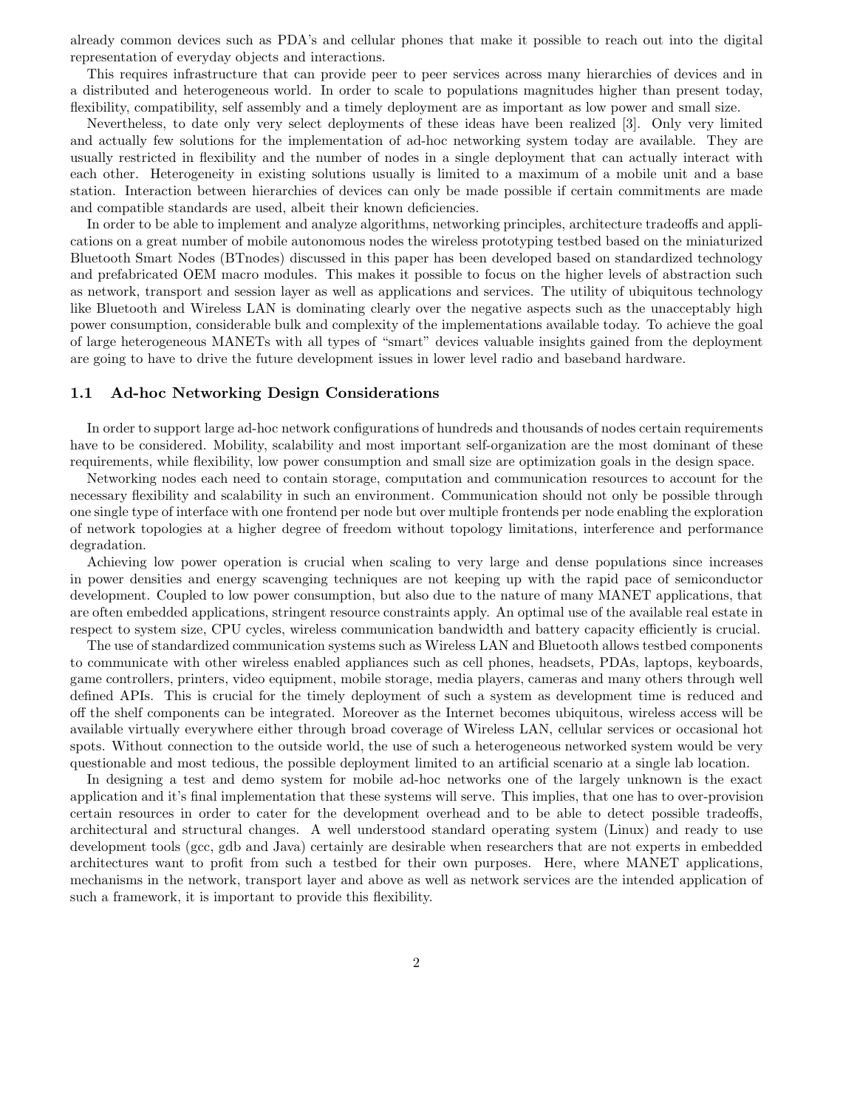already common devices such as PDA's and cellular phones that make it possible to reach out into the digital representation of everyday objects and interactions.

This requires infrastructure that can provide peer to peer services across many hierarchies of devices and in a distributed and heterogeneous world. In order to scale to populations magnitudes higher than present today, flexibility, compatibility, self assembly and a timely deployment are as important as low power and small size.

Nevertheless, to date only very select deployments of these ideas have been realized [3]. Only very limited and actually few solutions for the implementation of ad-hoc networking system today are available. They are usually restricted in flexibility and the number of nodes in a single deployment that can actually interact with each other. Heterogeneity in existing solutions usually is limited to a maximum of a mobile unit and a base station. Interaction between hierarchies of devices can only be made possible if certain commitments are made and compatible standards are used, albeit their known deficiencies.

In order to be able to implement and analyze algorithms, networking principles, architecture tradeoffs and applications on a great number of mobile autonomous nodes the wireless prototyping testbed based on the miniaturized Bluetooth Smart Nodes (BTnodes) discussed in this paper has been developed based on standardized technology and prefabricated OEM macro modules. This makes it possible to focus on the higher levels of abstraction such as network, transport and session layer as well as applications and services. The utility of ubiquitous technology like Bluetooth and Wireless LAN is dominating clearly over the negative aspects such as the unacceptably high power consumption, considerable bulk and complexity of the implementations available today. To achieve the goal of large heterogeneous MANETs with all types of "smart" devices valuable insights gained from the deployment are going to have to drive the future development issues in lower level radio and baseband hardware.

#### **1.1 Ad-hoc Networking Design Considerations**

In order to support large ad-hoc network configurations of hundreds and thousands of nodes certain requirements have to be considered. Mobility, scalability and most important self-organization are the most dominant of these requirements, while flexibility, low power consumption and small size are optimization goals in the design space.

Networking nodes each need to contain storage, computation and communication resources to account for the necessary flexibility and scalability in such an environment. Communication should not only be possible through one single type of interface with one frontend per node but over multiple frontends per node enabling the exploration of network topologies at a higher degree of freedom without topology limitations, interference and performance degradation.

Achieving low power operation is crucial when scaling to very large and dense populations since increases in power densities and energy scavenging techniques are not keeping up with the rapid pace of semiconductor development. Coupled to low power consumption, but also due to the nature of many MANET applications, that are often embedded applications, stringent resource constraints apply. An optimal use of the available real estate in respect to system size, CPU cycles, wireless communication bandwidth and battery capacity efficiently is crucial.

The use of standardized communication systems such as Wireless LAN and Bluetooth allows testbed components to communicate with other wireless enabled appliances such as cell phones, headsets, PDAs, laptops, keyboards, game controllers, printers, video equipment, mobile storage, media players, cameras and many others through well defined APIs. This is crucial for the timely deployment of such a system as development time is reduced and off the shelf components can be integrated. Moreover as the Internet becomes ubiquitous, wireless access will be available virtually everywhere either through broad coverage of Wireless LAN, cellular services or occasional hot spots. Without connection to the outside world, the use of such a heterogeneous networked system would be very questionable and most tedious, the possible deployment limited to an artificial scenario at a single lab location.

In designing a test and demo system for mobile ad-hoc networks one of the largely unknown is the exact application and it's final implementation that these systems will serve. This implies, that one has to over-provision certain resources in order to cater for the development overhead and to be able to detect possible tradeoffs, architectural and structural changes. A well understood standard operating system (Linux) and ready to use development tools (gcc, gdb and Java) certainly are desirable when researchers that are not experts in embedded architectures want to profit from such a testbed for their own purposes. Here, where MANET applications, mechanisms in the network, transport layer and above as well as network services are the intended application of such a framework, it is important to provide this flexibility.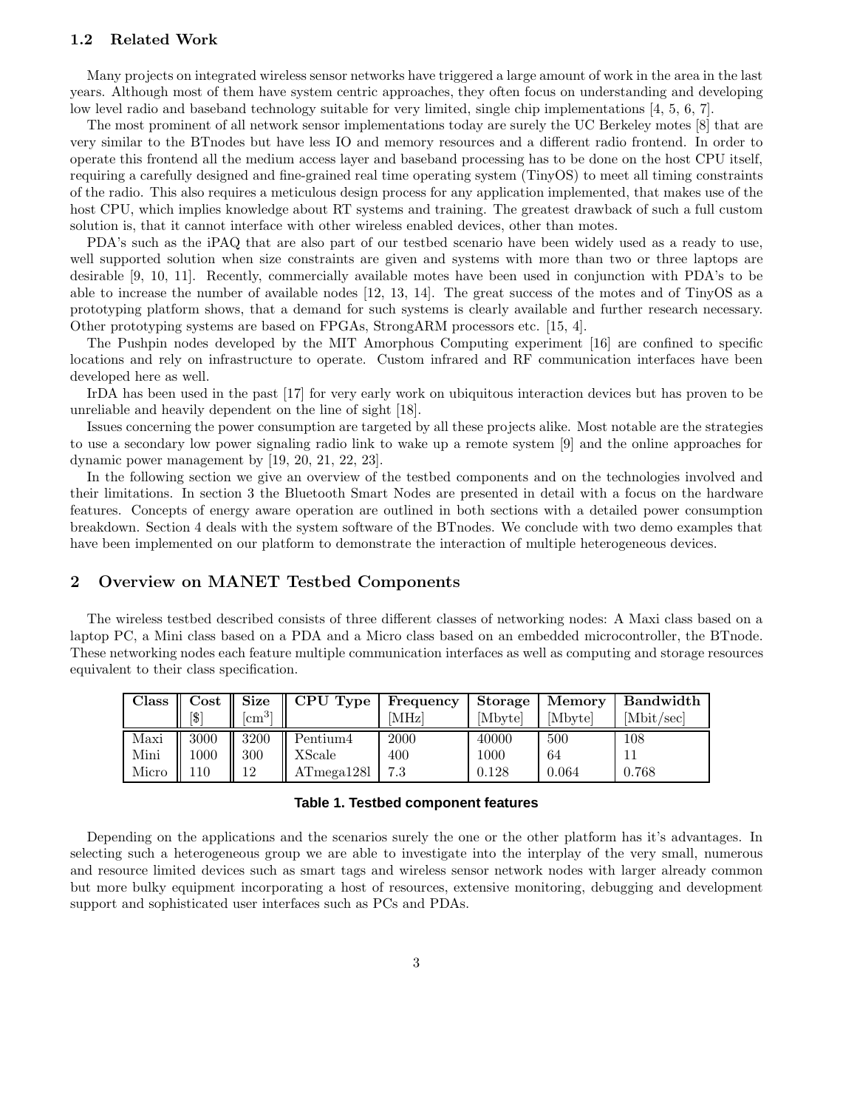## **1.2 Related Work**

Many projects on integrated wireless sensor networks have triggered a large amount of work in the area in the last years. Although most of them have system centric approaches, they often focus on understanding and developing low level radio and baseband technology suitable for very limited, single chip implementations [4, 5, 6, 7].

The most prominent of all network sensor implementations today are surely the UC Berkeley motes [8] that are very similar to the BTnodes but have less IO and memory resources and a different radio frontend. In order to operate this frontend all the medium access layer and baseband processing has to be done on the host CPU itself, requiring a carefully designed and fine-grained real time operating system (TinyOS) to meet all timing constraints of the radio. This also requires a meticulous design process for any application implemented, that makes use of the host CPU, which implies knowledge about RT systems and training. The greatest drawback of such a full custom solution is, that it cannot interface with other wireless enabled devices, other than motes.

PDA's such as the iPAQ that are also part of our testbed scenario have been widely used as a ready to use, well supported solution when size constraints are given and systems with more than two or three laptops are desirable [9, 10, 11]. Recently, commercially available motes have been used in conjunction with PDA's to be able to increase the number of available nodes [12, 13, 14]. The great success of the motes and of TinyOS as a prototyping platform shows, that a demand for such systems is clearly available and further research necessary. Other prototyping systems are based on FPGAs, StrongARM processors etc. [15, 4].

The Pushpin nodes developed by the MIT Amorphous Computing experiment [16] are confined to specific locations and rely on infrastructure to operate. Custom infrared and RF communication interfaces have been developed here as well.

IrDA has been used in the past [17] for very early work on ubiquitous interaction devices but has proven to be unreliable and heavily dependent on the line of sight [18].

Issues concerning the power consumption are targeted by all these projects alike. Most notable are the strategies to use a secondary low power signaling radio link to wake up a remote system [9] and the online approaches for dynamic power management by [19, 20, 21, 22, 23].

In the following section we give an overview of the testbed components and on the technologies involved and their limitations. In section 3 the Bluetooth Smart Nodes are presented in detail with a focus on the hardware features. Concepts of energy aware operation are outlined in both sections with a detailed power consumption breakdown. Section 4 deals with the system software of the BTnodes. We conclude with two demo examples that have been implemented on our platform to demonstrate the interaction of multiple heterogeneous devices.

## **2 Overview on MANET Testbed Components**

The wireless testbed described consists of three different classes of networking nodes: A Maxi class based on a laptop PC, a Mini class based on a PDA and a Micro class based on an embedded microcontroller, the BTnode. These networking nodes each feature multiple communication interfaces as well as computing and storage resources equivalent to their class specification.

| <b>Class</b> | $\cos t$ | <b>Size</b>  | CPU Type   | Frequency | Storage | Memory  | Bandwidth  |
|--------------|----------|--------------|------------|-----------|---------|---------|------------|
|              | ™\$1     | $\rm [cm^3]$ |            | [MHz]     | [Mbyte] | [Mbyte] | [Mbit/sec] |
| Maxi         | 3000     | 3200         | Pentium4   | 2000      | 40000   | 500     | 108        |
| Mini         | 1000     | 300          | XScale     | 400       | 1000    | 64      |            |
| Micro        | 110      | 12           | ATmega1281 | 7.3       | 0.128   | 0.064   | 0.768      |

#### **Table 1. Testbed component features**

Depending on the applications and the scenarios surely the one or the other platform has it's advantages. In selecting such a heterogeneous group we are able to investigate into the interplay of the very small, numerous and resource limited devices such as smart tags and wireless sensor network nodes with larger already common but more bulky equipment incorporating a host of resources, extensive monitoring, debugging and development support and sophisticated user interfaces such as PCs and PDAs.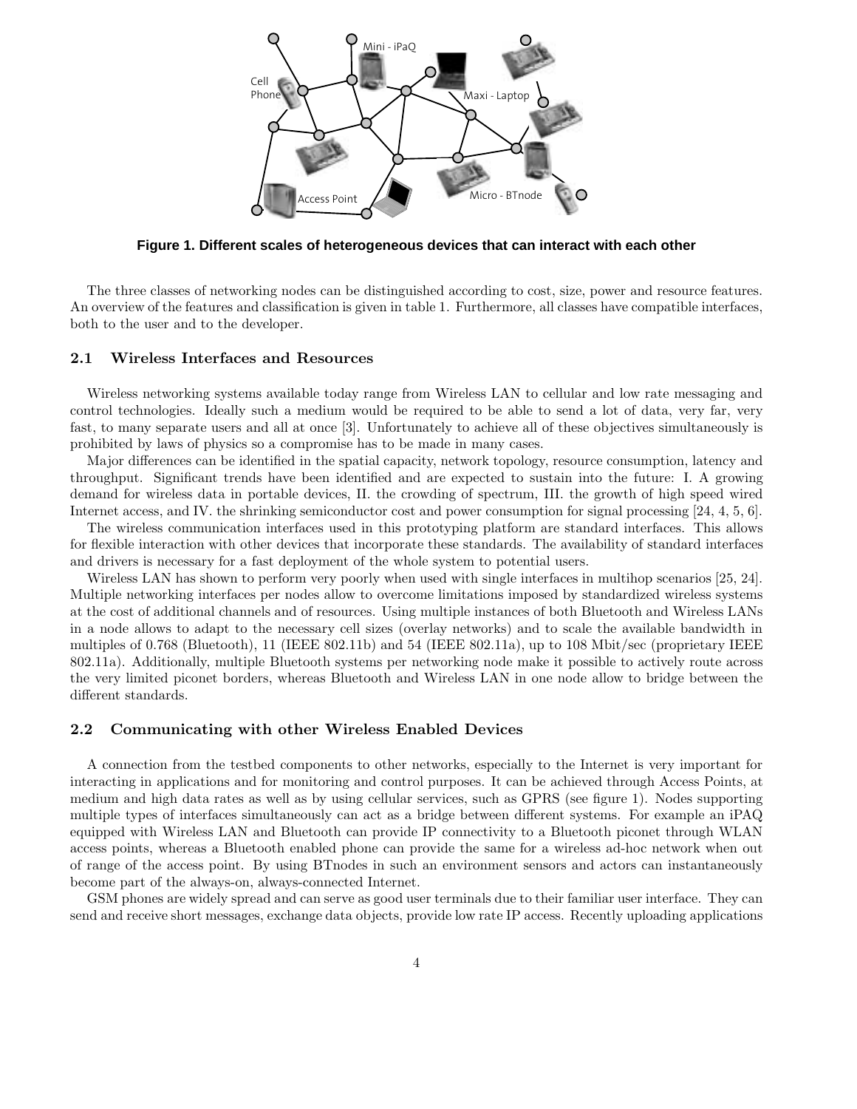

**Figure 1. Different scales of heterogeneous devices that can interact with each other**

The three classes of networking nodes can be distinguished according to cost, size, power and resource features. An overview of the features and classification is given in table 1. Furthermore, all classes have compatible interfaces, both to the user and to the developer.

#### **2.1 Wireless Interfaces and Resources**

Wireless networking systems available today range from Wireless LAN to cellular and low rate messaging and control technologies. Ideally such a medium would be required to be able to send a lot of data, very far, very fast, to many separate users and all at once [3]. Unfortunately to achieve all of these objectives simultaneously is prohibited by laws of physics so a compromise has to be made in many cases.

Major differences can be identified in the spatial capacity, network topology, resource consumption, latency and throughput. Significant trends have been identified and are expected to sustain into the future: I. A growing demand for wireless data in portable devices, II. the crowding of spectrum, III. the growth of high speed wired Internet access, and IV. the shrinking semiconductor cost and power consumption for signal processing [24, 4, 5, 6].

The wireless communication interfaces used in this prototyping platform are standard interfaces. This allows for flexible interaction with other devices that incorporate these standards. The availability of standard interfaces and drivers is necessary for a fast deployment of the whole system to potential users.

Wireless LAN has shown to perform very poorly when used with single interfaces in multihop scenarios [25, 24]. Multiple networking interfaces per nodes allow to overcome limitations imposed by standardized wireless systems at the cost of additional channels and of resources. Using multiple instances of both Bluetooth and Wireless LANs in a node allows to adapt to the necessary cell sizes (overlay networks) and to scale the available bandwidth in multiples of 0.768 (Bluetooth), 11 (IEEE 802.11b) and 54 (IEEE 802.11a), up to 108 Mbit/sec (proprietary IEEE 802.11a). Additionally, multiple Bluetooth systems per networking node make it possible to actively route across the very limited piconet borders, whereas Bluetooth and Wireless LAN in one node allow to bridge between the different standards.

#### **2.2 Communicating with other Wireless Enabled Devices**

A connection from the testbed components to other networks, especially to the Internet is very important for interacting in applications and for monitoring and control purposes. It can be achieved through Access Points, at medium and high data rates as well as by using cellular services, such as GPRS (see figure 1). Nodes supporting multiple types of interfaces simultaneously can act as a bridge between different systems. For example an iPAQ equipped with Wireless LAN and Bluetooth can provide IP connectivity to a Bluetooth piconet through WLAN access points, whereas a Bluetooth enabled phone can provide the same for a wireless ad-hoc network when out of range of the access point. By using BTnodes in such an environment sensors and actors can instantaneously become part of the always-on, always-connected Internet.

GSM phones are widely spread and can serve as good user terminals due to their familiar user interface. They can send and receive short messages, exchange data objects, provide low rate IP access. Recently uploading applications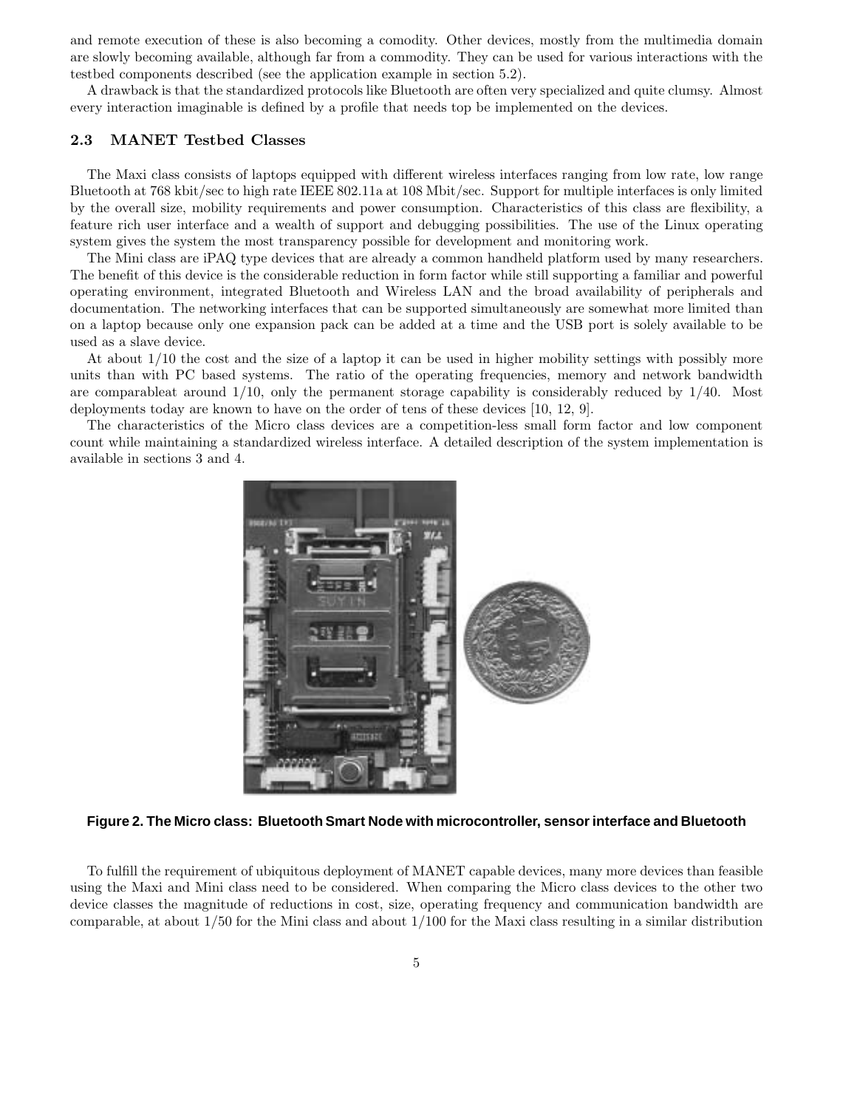and remote execution of these is also becoming a comodity. Other devices, mostly from the multimedia domain are slowly becoming available, although far from a commodity. They can be used for various interactions with the testbed components described (see the application example in section 5.2).

A drawback is that the standardized protocols like Bluetooth are often very specialized and quite clumsy. Almost every interaction imaginable is defined by a profile that needs top be implemented on the devices.

# **2.3 MANET Testbed Classes**

The Maxi class consists of laptops equipped with different wireless interfaces ranging from low rate, low range Bluetooth at 768 kbit/sec to high rate IEEE 802.11a at 108 Mbit/sec. Support for multiple interfaces is only limited by the overall size, mobility requirements and power consumption. Characteristics of this class are flexibility, a feature rich user interface and a wealth of support and debugging possibilities. The use of the Linuxoperating system gives the system the most transparency possible for development and monitoring work.

The Mini class are iPAQ type devices that are already a common handheld platform used by many researchers. The benefit of this device is the considerable reduction in form factor while still supporting a familiar and powerful operating environment, integrated Bluetooth and Wireless LAN and the broad availability of peripherals and documentation. The networking interfaces that can be supported simultaneously are somewhat more limited than on a laptop because only one expansion pack can be added at a time and the USB port is solely available to be used as a slave device.

At about 1/10 the cost and the size of a laptop it can be used in higher mobility settings with possibly more units than with PC based systems. The ratio of the operating frequencies, memory and network bandwidth are comparableat around  $1/10$ , only the permanent storage capability is considerably reduced by  $1/40$ . Most deployments today are known to have on the order of tens of these devices [10, 12, 9].

The characteristics of the Micro class devices are a competition-less small form factor and low component count while maintaining a standardized wireless interface. A detailed description of the system implementation is available in sections 3 and 4.



**Figure 2. The Micro class: Bluetooth Smart Node with microcontroller, sensor interface and Bluetooth**

To fulfill the requirement of ubiquitous deployment of MANET capable devices, many more devices than feasible using the Maxi and Mini class need to be considered. When comparing the Micro class devices to the other two device classes the magnitude of reductions in cost, size, operating frequency and communication bandwidth are comparable, at about 1/50 for the Mini class and about 1/100 for the Maxi class resulting in a similar distribution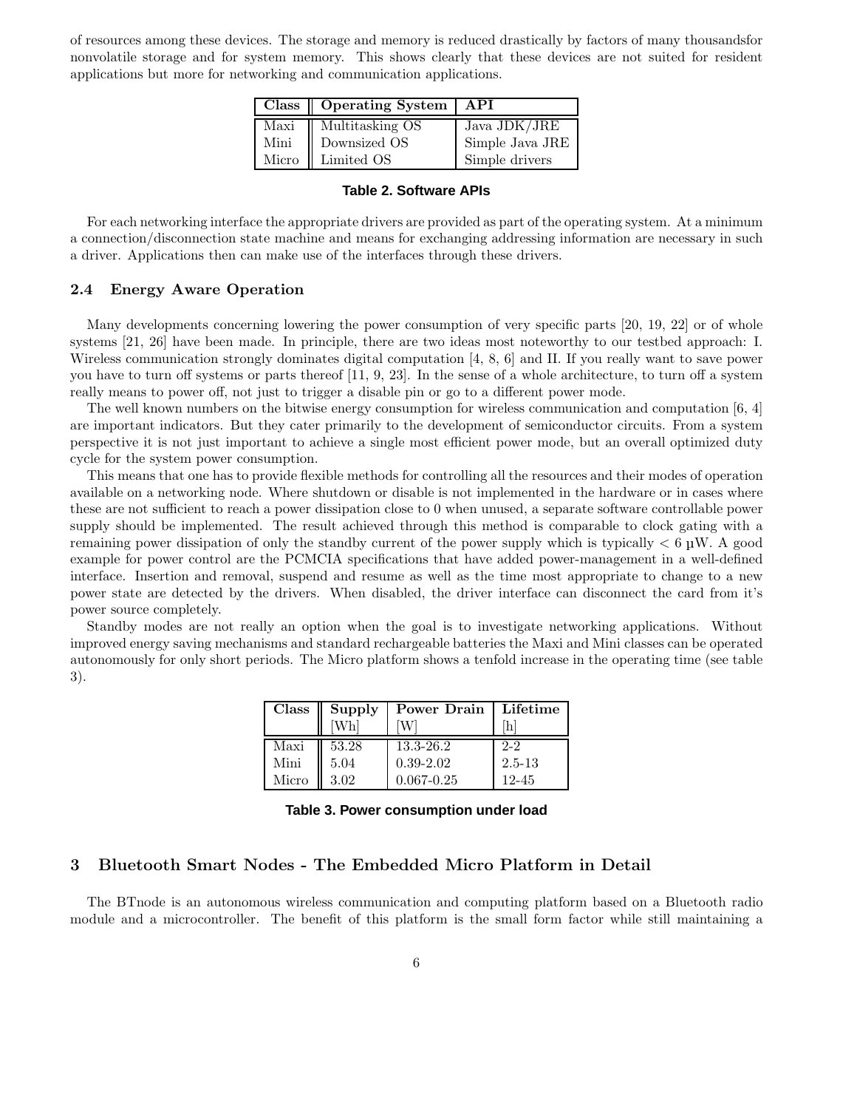of resources among these devices. The storage and memory is reduced drastically by factors of many thousandsfor nonvolatile storage and for system memory. This shows clearly that these devices are not suited for resident applications but more for networking and communication applications.

|       | Class   Operating System | API             |
|-------|--------------------------|-----------------|
| Maxi  | Multitasking OS          | Java JDK/JRE    |
| Mini  | Downsized OS             | Simple Java JRE |
| Micro | Limited OS               | Simple drivers  |

#### **Table 2. Software APIs**

For each networking interface the appropriate drivers are provided as part of the operating system. At a minimum a connection/disconnection state machine and means for exchanging addressing information are necessary in such a driver. Applications then can make use of the interfaces through these drivers.

#### **2.4 Energy Aware Operation**

Many developments concerning lowering the power consumption of very specific parts [20, 19, 22] or of whole systems [21, 26] have been made. In principle, there are two ideas most noteworthy to our testbed approach: I. Wireless communication strongly dominates digital computation [4, 8, 6] and II. If you really want to save power you have to turn off systems or parts thereof [11, 9, 23]. In the sense of a whole architecture, to turn off a system really means to power off, not just to trigger a disable pin or go to a different power mode.

The well known numbers on the bitwise energy consumption for wireless communication and computation [6, 4] are important indicators. But they cater primarily to the development of semiconductor circuits. From a system perspective it is not just important to achieve a single most efficient power mode, but an overall optimized duty cycle for the system power consumption.

This means that one has to provide flexible methods for controlling all the resources and their modes of operation available on a networking node. Where shutdown or disable is not implemented in the hardware or in cases where these are not sufficient to reach a power dissipation close to 0 when unused, a separate software controllable power supply should be implemented. The result achieved through this method is comparable to clock gating with a remaining power dissipation of only the standby current of the power supply which is typically *<* 6 <sup>µ</sup>W. A good example for power control are the PCMCIA specifications that have added power-management in a well-defined interface. Insertion and removal, suspend and resume as well as the time most appropriate to change to a new power state are detected by the drivers. When disabled, the driver interface can disconnect the card from it's power source completely.

Standby modes are not really an option when the goal is to investigate networking applications. Without improved energy saving mechanisms and standard rechargeable batteries the Maxi and Mini classes can be operated autonomously for only short periods. The Micro platform shows a tenfold increase in the operating time (see table 3).

| Class | Supply<br>Ш | Power Drain    | Lifetime   |  |  |
|-------|-------------|----------------|------------|--|--|
|       | [Wh]        |                | h          |  |  |
| Maxi  | 53.28       | $13.3 - 26.2$  | $2 - 2$    |  |  |
| Mini  | 5.04        | $0.39 - 2.02$  | $2.5 - 13$ |  |  |
| Micro | 3.02        | $0.067 - 0.25$ | $12 - 45$  |  |  |

**Table 3. Power consumption under load**

# **3 Bluetooth Smart Nodes - The Embedded Micro Platform in Detail**

The BTnode is an autonomous wireless communication and computing platform based on a Bluetooth radio module and a microcontroller. The benefit of this platform is the small form factor while still maintaining a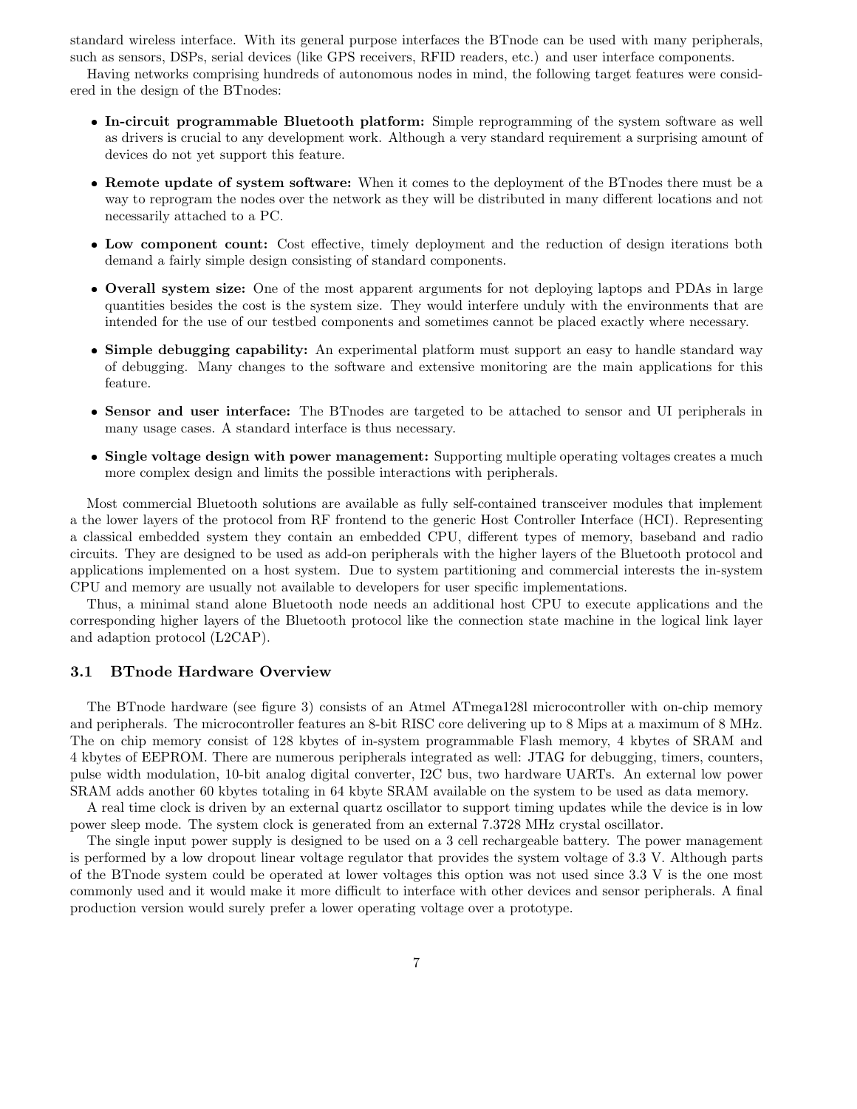standard wireless interface. With its general purpose interfaces the BTnode can be used with many peripherals, such as sensors, DSPs, serial devices (like GPS receivers, RFID readers, etc.) and user interface components.

Having networks comprising hundreds of autonomous nodes in mind, the following target features were considered in the design of the BTnodes:

- **In-circuit programmable Bluetooth platform:** Simple reprogramming of the system software as well as drivers is crucial to any development work. Although a very standard requirement a surprising amount of devices do not yet support this feature.
- **Remote update of system software:** When it comes to the deployment of the BTnodes there must be a way to reprogram the nodes over the network as they will be distributed in many different locations and not necessarily attached to a PC.
- **Low component count:** Cost effective, timely deployment and the reduction of design iterations both demand a fairly simple design consisting of standard components.
- **Overall system size:** One of the most apparent arguments for not deploying laptops and PDAs in large quantities besides the cost is the system size. They would interfere unduly with the environments that are intended for the use of our testbed components and sometimes cannot be placed exactly where necessary.
- **Simple debugging capability:** An experimental platform must support an easy to handle standard way of debugging. Many changes to the software and extensive monitoring are the main applications for this feature.
- **Sensor and user interface:** The BTnodes are targeted to be attached to sensor and UI peripherals in many usage cases. A standard interface is thus necessary.
- **Single voltage design with power management:** Supporting multiple operating voltages creates a much more complex design and limits the possible interactions with peripherals.

Most commercial Bluetooth solutions are available as fully self-contained transceiver modules that implement a the lower layers of the protocol from RF frontend to the generic Host Controller Interface (HCI). Representing a classical embedded system they contain an embedded CPU, different types of memory, baseband and radio circuits. They are designed to be used as add-on peripherals with the higher layers of the Bluetooth protocol and applications implemented on a host system. Due to system partitioning and commercial interests the in-system CPU and memory are usually not available to developers for user specific implementations.

Thus, a minimal stand alone Bluetooth node needs an additional host CPU to execute applications and the corresponding higher layers of the Bluetooth protocol like the connection state machine in the logical link layer and adaption protocol (L2CAP).

#### **3.1 BTnode Hardware Overview**

The BTnode hardware (see figure 3) consists of an Atmel ATmega128l microcontroller with on-chip memory and peripherals. The microcontroller features an 8-bit RISC core delivering up to 8 Mips at a maximum of 8 MHz. The on chip memory consist of 128 kbytes of in-system programmable Flash memory, 4 kbytes of SRAM and 4 kbytes of EEPROM. There are numerous peripherals integrated as well: JTAG for debugging, timers, counters, pulse width modulation, 10-bit analog digital converter, I2C bus, two hardware UARTs. An external low power SRAM adds another 60 kbytes totaling in 64 kbyte SRAM available on the system to be used as data memory.

A real time clock is driven by an external quartz oscillator to support timing updates while the device is in low power sleep mode. The system clock is generated from an external 7.3728 MHz crystal oscillator.

The single input power supply is designed to be used on a 3 cell rechargeable battery. The power management is performed by a low dropout linear voltage regulator that provides the system voltage of 3.3 V. Although parts of the BTnode system could be operated at lower voltages this option was not used since 3.3 V is the one most commonly used and it would make it more difficult to interface with other devices and sensor peripherals. A final production version would surely prefer a lower operating voltage over a prototype.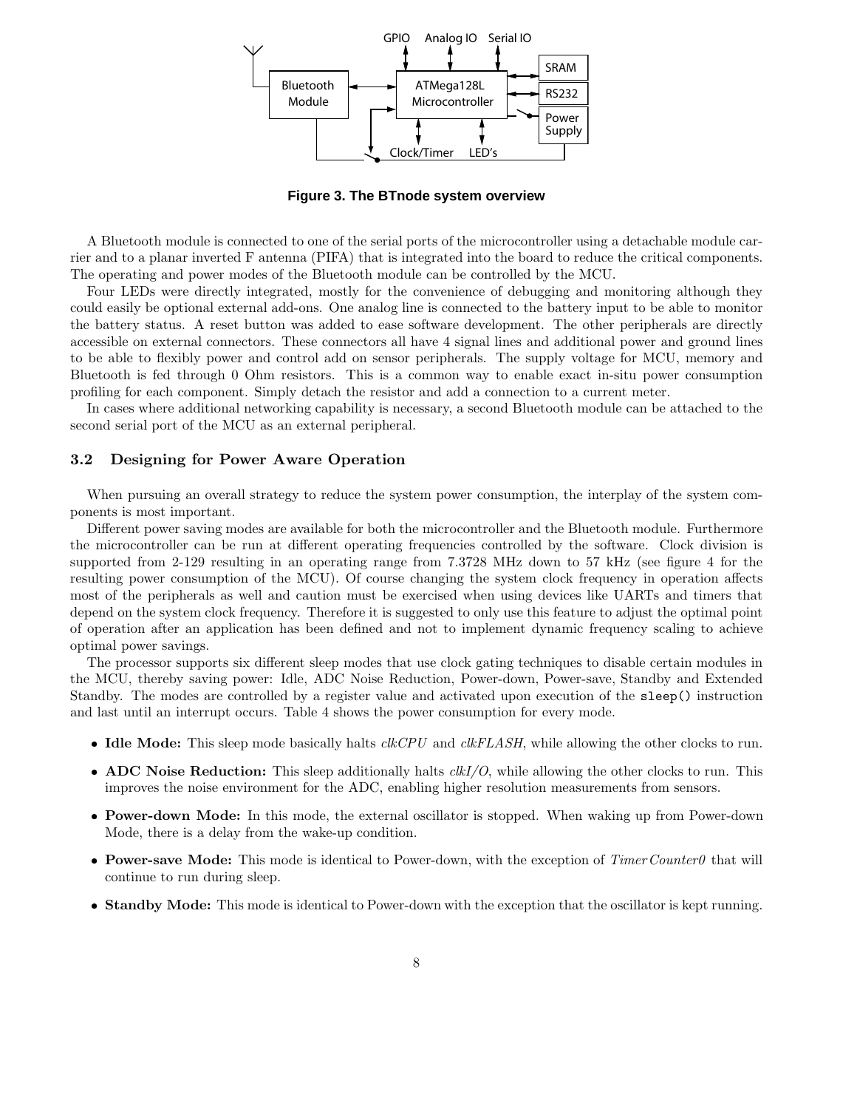

**Figure 3. The BTnode system overview**

A Bluetooth module is connected to one of the serial ports of the microcontroller using a detachable module carrier and to a planar inverted F antenna (PIFA) that is integrated into the board to reduce the critical components. The operating and power modes of the Bluetooth module can be controlled by the MCU.

Four LEDs were directly integrated, mostly for the convenience of debugging and monitoring although they could easily be optional external add-ons. One analog line is connected to the battery input to be able to monitor the battery status. A reset button was added to ease software development. The other peripherals are directly accessible on external connectors. These connectors all have 4 signal lines and additional power and ground lines to be able to flexibly power and control add on sensor peripherals. The supply voltage for MCU, memory and Bluetooth is fed through 0 Ohm resistors. This is a common way to enable exact in-situ power consumption profiling for each component. Simply detach the resistor and add a connection to a current meter.

In cases where additional networking capability is necessary, a second Bluetooth module can be attached to the second serial port of the MCU as an external peripheral.

#### **3.2 Designing for Power Aware Operation**

When pursuing an overall strategy to reduce the system power consumption, the interplay of the system components is most important.

Different power saving modes are available for both the microcontroller and the Bluetooth module. Furthermore the microcontroller can be run at different operating frequencies controlled by the software. Clock division is supported from 2-129 resulting in an operating range from 7.3728 MHz down to 57 kHz (see figure 4 for the resulting power consumption of the MCU). Of course changing the system clock frequency in operation affects most of the peripherals as well and caution must be exercised when using devices like UARTs and timers that depend on the system clock frequency. Therefore it is suggested to only use this feature to adjust the optimal point of operation after an application has been defined and not to implement dynamic frequency scaling to achieve optimal power savings.

The processor supports sixdifferent sleep modes that use clock gating techniques to disable certain modules in the MCU, thereby saving power: Idle, ADC Noise Reduction, Power-down, Power-save, Standby and Extended Standby. The modes are controlled by a register value and activated upon execution of the sleep() instruction and last until an interrupt occurs. Table 4 shows the power consumption for every mode.

- **Idle Mode:** This sleep mode basically halts *clkCPU* and *clkFLASH*, while allowing the other clocks to run.
- **ADC Noise Reduction:** This sleep additionally halts *clkI/O*, while allowing the other clocks to run. This improves the noise environment for the ADC, enabling higher resolution measurements from sensors.
- **Power-down Mode:** In this mode, the external oscillator is stopped. When waking up from Power-down Mode, there is a delay from the wake-up condition.
- **Power-save Mode:** This mode is identical to Power-down, with the exception of *TimerCounter0* that will continue to run during sleep.
- **Standby Mode:** This mode is identical to Power-down with the exception that the oscillator is kept running.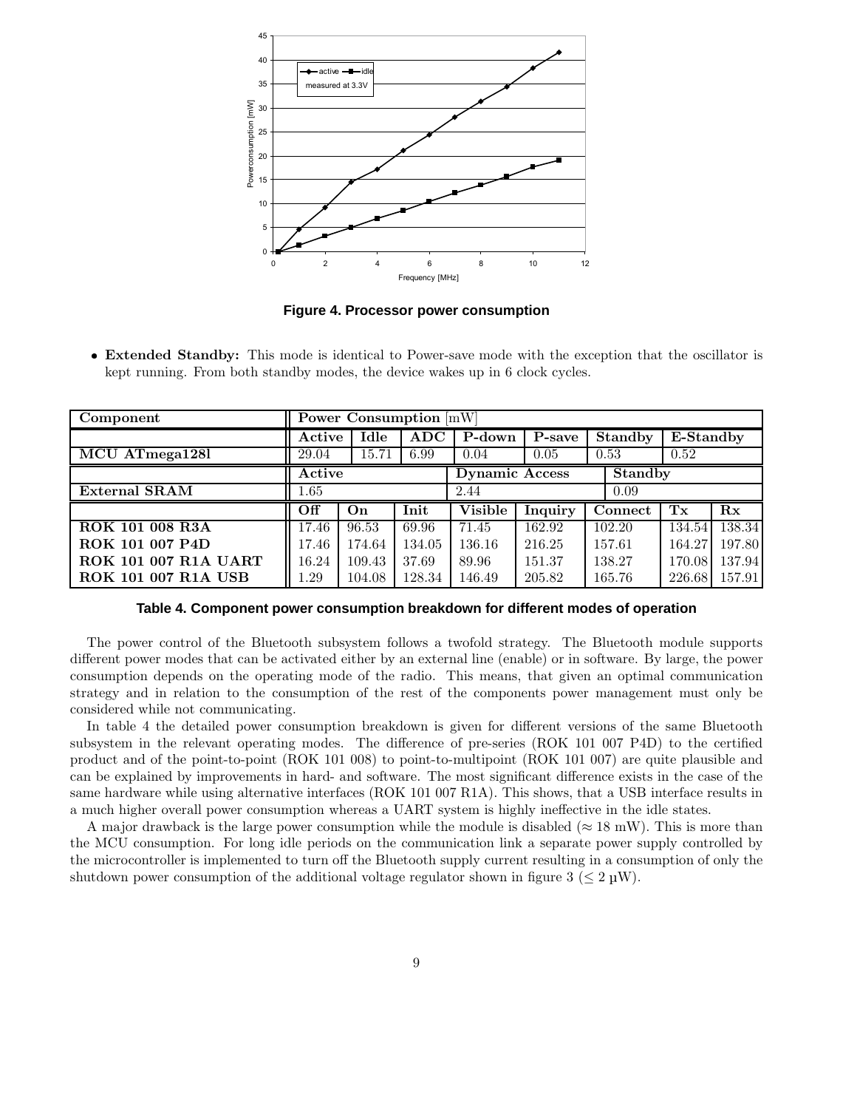

**Figure 4. Processor power consumption**

 **Extended Standby:** This mode is identical to Power-save mode with the exception that the oscillator is kept running. From both standby modes, the device wakes up in 6 clock cycles.

| Component                   | Power Consumption $\overline{\text{mW}}$ |        |            |                |                |                             |           |                         |
|-----------------------------|------------------------------------------|--------|------------|----------------|----------------|-----------------------------|-----------|-------------------------|
|                             | Active                                   | Idle   | <b>ADC</b> | P-down         | P-save         | <b>Standby</b>              | E-Standby |                         |
| MCU ATmega1281              | 29.04                                    | 15.71  | 6.99       | 0.04           | 0.05           | 0.53                        | 0.52      |                         |
|                             | Active<br><b>Dynamic Access</b>          |        |            |                | <b>Standby</b> |                             |           |                         |
| <b>External SRAM</b>        | 1.65                                     |        |            | 2.44           |                | 0.09                        |           |                         |
|                             | Off                                      | On     | Init       | <b>Visible</b> | <b>Inquiry</b> | $\overline{\text{Connect}}$ | Tx        | $\mathbf{R} \mathbf{x}$ |
| <b>ROK 101 008 R3A</b>      | 17.46                                    | 96.53  | 69.96      | 71.45          | 162.92         | 102.20                      | 134.54    | 138.34                  |
| <b>ROK 101 007 P4D</b>      | 17.46                                    | 174.64 | 134.05     | 136.16         | 216.25         | 157.61                      | 164.27    | 197.80                  |
| <b>ROK 101 007 R1A UART</b> | 16.24                                    | 109.43 | 37.69      | 89.96          | 151.37         | 138.27                      | 170.08    | 137.94                  |
| <b>ROK 101 007 R1A USB</b>  | .29                                      | 104.08 | 128.34     | 146.49         | 205.82         | 165.76                      | 226.68    | 157.91                  |

#### **Table 4. Component power consumption breakdown for different modes of operation**

The power control of the Bluetooth subsystem follows a twofold strategy. The Bluetooth module supports different power modes that can be activated either by an external line (enable) or in software. By large, the power consumption depends on the operating mode of the radio. This means, that given an optimal communication strategy and in relation to the consumption of the rest of the components power management must only be considered while not communicating.

In table 4 the detailed power consumption breakdown is given for different versions of the same Bluetooth subsystem in the relevant operating modes. The difference of pre-series (ROK 101 007 P4D) to the certified product and of the point-to-point (ROK 101 008) to point-to-multipoint (ROK 101 007) are quite plausible and can be explained by improvements in hard- and software. The most significant difference exists in the case of the same hardware while using alternative interfaces (ROK 101 007 R1A). This shows, that a USB interface results in a much higher overall power consumption whereas a UART system is highly ineffective in the idle states.

A major drawback is the large power consumption while the module is disabled ( $\approx 18$  mW). This is more than the MCU consumption. For long idle periods on the communication link a separate power supply controlled by the microcontroller is implemented to turn off the Bluetooth supply current resulting in a consumption of only the shutdown power consumption of the additional voltage regulator shown in figure 3 ( $\leq 2 \text{ }\mu\text{W}$ ).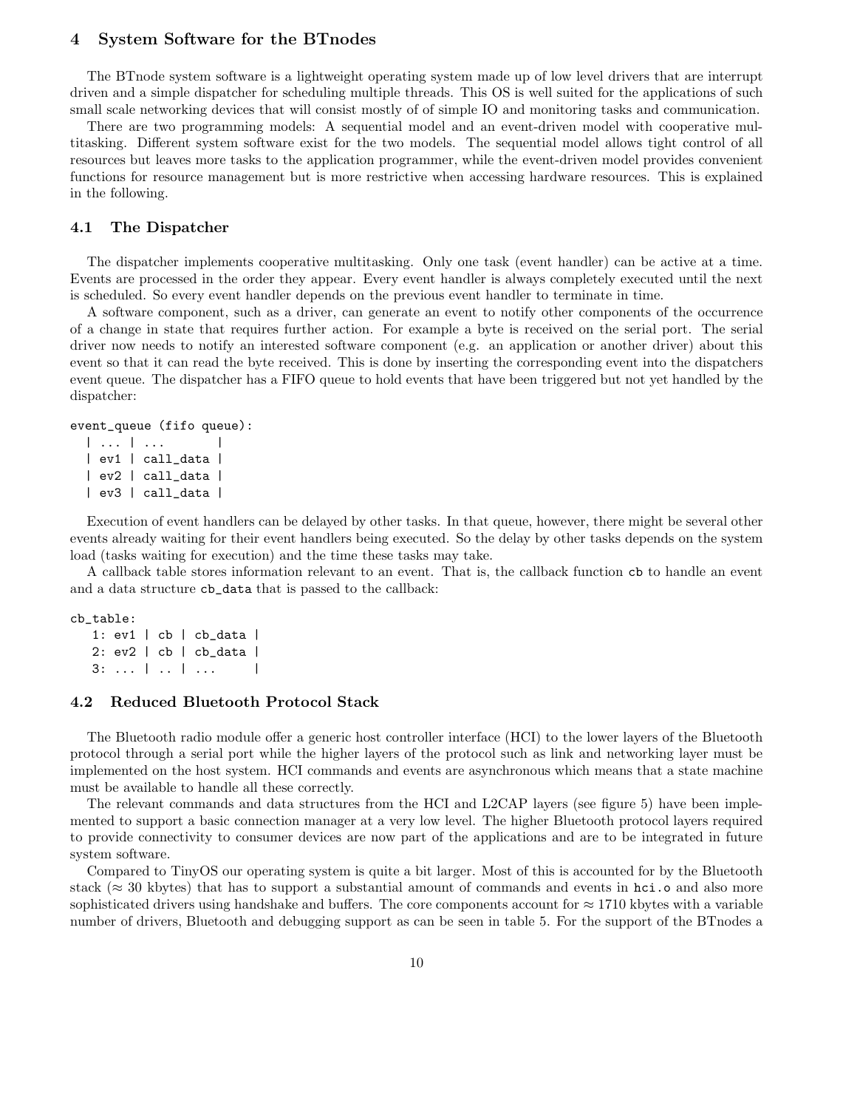# **4 System Software for the BTnodes**

The BTnode system software is a lightweight operating system made up of low level drivers that are interrupt driven and a simple dispatcher for scheduling multiple threads. This OS is well suited for the applications of such small scale networking devices that will consist mostly of of simple IO and monitoring tasks and communication.

There are two programming models: A sequential model and an event-driven model with cooperative multitasking. Different system software exist for the two models. The sequential model allows tight control of all resources but leaves more tasks to the application programmer, while the event-driven model provides convenient functions for resource management but is more restrictive when accessing hardware resources. This is explained in the following.

#### **4.1 The Dispatcher**

The dispatcher implements cooperative multitasking. Only one task (event handler) can be active at a time. Events are processed in the order they appear. Every event handler is always completely executed until the next is scheduled. So every event handler depends on the previous event handler to terminate in time.

A software component, such as a driver, can generate an event to notify other components of the occurrence of a change in state that requires further action. For example a byte is received on the serial port. The serial driver now needs to notify an interested software component (e.g. an application or another driver) about this event so that it can read the byte received. This is done by inserting the corresponding event into the dispatchers event queue. The dispatcher has a FIFO queue to hold events that have been triggered but not yet handled by the dispatcher:

# event\_queue (fifo queue):

```
| ... | ... |
| ev1 | call_data |
| ev2 | call_data |
| ev3 | call_data |
```
Execution of event handlers can be delayed by other tasks. In that queue, however, there might be several other events already waiting for their event handlers being executed. So the delay by other tasks depends on the system load (tasks waiting for execution) and the time these tasks may take.

A callback table stores information relevant to an event. That is, the callback function cb to handle an event and a data structure cb\_data that is passed to the callback:

#### cb\_table:

```
1: ev1 | cb | cb_data |
2: ev2 | cb | cb_data |
3: ... | .. | ... |
```
#### **4.2 Reduced Bluetooth Protocol Stack**

The Bluetooth radio module offer a generic host controller interface (HCI) to the lower layers of the Bluetooth protocol through a serial port while the higher layers of the protocol such as link and networking layer must be implemented on the host system. HCI commands and events are asynchronous which means that a state machine must be available to handle all these correctly.

The relevant commands and data structures from the HCI and L2CAP layers (see figure 5) have been implemented to support a basic connection manager at a very low level. The higher Bluetooth protocol layers required to provide connectivity to consumer devices are now part of the applications and are to be integrated in future system software.

Compared to TinyOS our operating system is quite a bit larger. Most of this is accounted for by the Bluetooth stack ( $\approx$  30 kbytes) that has to support a substantial amount of commands and events in hci.o and also more sophisticated drivers using handshake and buffers. The core components account for  $\approx 1710$  kbytes with a variable number of drivers, Bluetooth and debugging support as can be seen in table 5. For the support of the BTnodes a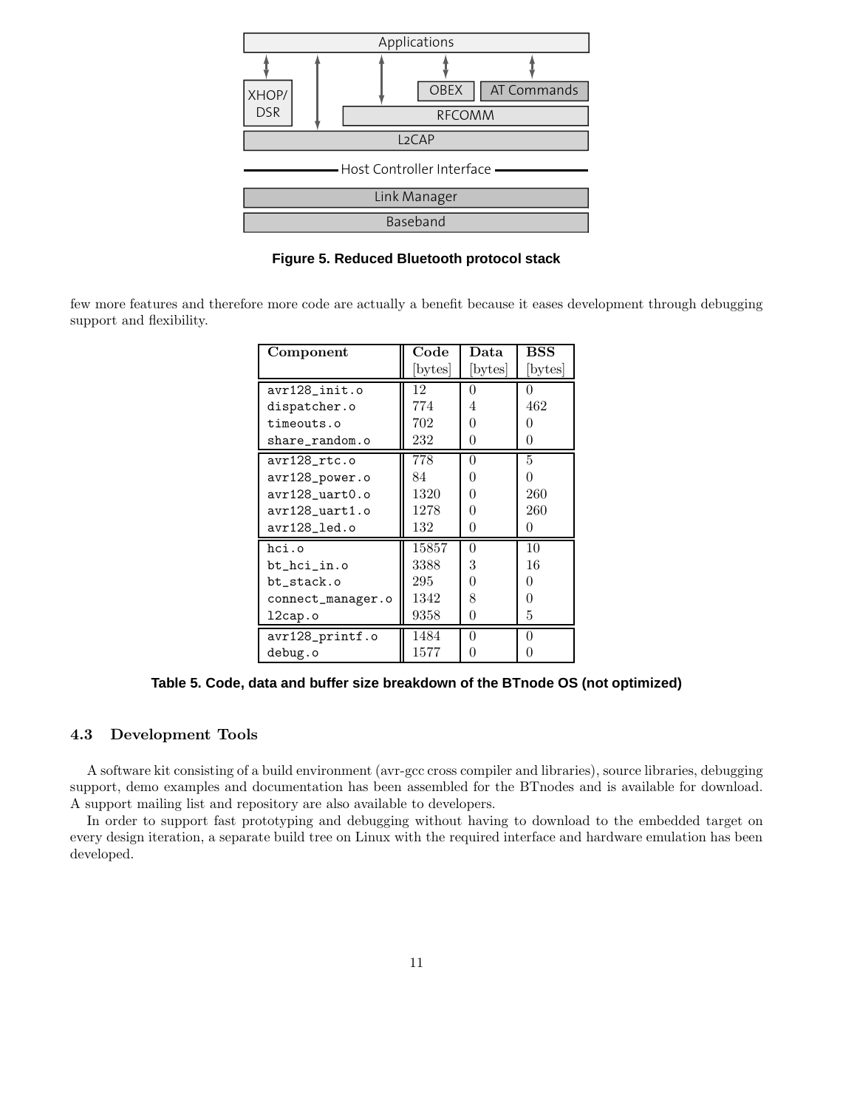

**Figure 5. Reduced Bluetooth protocol stack**

few more features and therefore more code are actually a benefit because it eases development through debugging support and flexibility.

| Component         | $\bf Code$ | Data             | BSS     |
|-------------------|------------|------------------|---------|
|                   | [bytes]    | [bytes]          | [bytes] |
| avr128_init.o     | 12         | $\theta$         | 0       |
| dispatcher.o      | 774        | 4                | 462     |
| timeouts.o        | 702        | 0                | 0       |
| share_random.o    | 232        | 0                | 0       |
| avr128_rtc.o      | 778        | 0                | 5       |
| avr128_power.o    | 84         | 0                | 0       |
| avr128_uart0.o    | 1320       | 0                | 260     |
| avr128_uart1.o    | 1278       | O                | 260     |
| avr128_led.o      | 132        | 0                | 0       |
| hci.o             | 15857      | $\Omega$         | 10      |
| bt_hci_in.o       | 3388       | 3                | 16      |
| bt_stack.o        | 295        | ∩                | 0       |
| connect_manager.o | 1342       | 8                | 0       |
| 12cap.o           | 9358       | 0                | 5       |
| avr128_printf.o   | 1484       | 0                | 0       |
| debug.o           | 1577       | $\left( \right)$ | 0       |

**Table 5. Code, data and buffer size breakdown of the BTnode OS (not optimized)**

# **4.3 Development Tools**

A software kit consisting of a build environment (avr-gcc cross compiler and libraries), source libraries, debugging support, demo examples and documentation has been assembled for the BTnodes and is available for download. A support mailing list and repository are also available to developers.

In order to support fast prototyping and debugging without having to download to the embedded target on every design iteration, a separate build tree on Linux with the required interface and hardware emulation has been developed.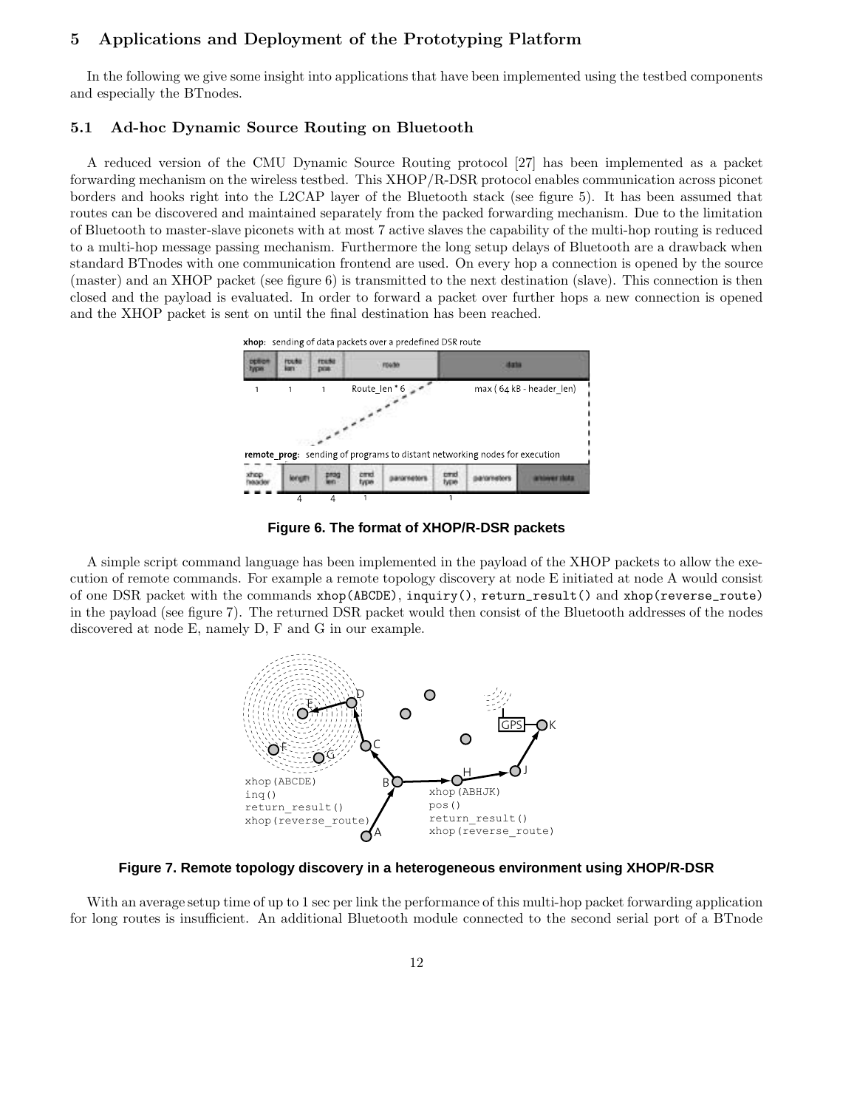# **5 Applications and Deployment of the Prototyping Platform**

In the following we give some insight into applications that have been implemented using the testbed components and especially the BTnodes.

# **5.1 Ad-hoc Dynamic Source Routing on Bluetooth**

A reduced version of the CMU Dynamic Source Routing protocol [27] has been implemented as a packet forwarding mechanism on the wireless testbed. This XHOP/R-DSR protocol enables communication across piconet borders and hooks right into the L2CAP layer of the Bluetooth stack (see figure 5). It has been assumed that routes can be discovered and maintained separately from the packed forwarding mechanism. Due to the limitation of Bluetooth to master-slave piconets with at most 7 active slaves the capability of the multi-hop routing is reduced to a multi-hop message passing mechanism. Furthermore the long setup delays of Bluetooth are a drawback when standard BTnodes with one communication frontend are used. On every hop a connection is opened by the source (master) and an XHOP packet (see figure 6) is transmitted to the next destination (slave). This connection is then closed and the payload is evaluated. In order to forward a packet over further hops a new connection is opened and the XHOP packet is sent on until the final destination has been reached.





**Figure 6. The format of XHOP/R-DSR packets**

A simple script command language has been implemented in the payload of the XHOP packets to allow the execution of remote commands. For example a remote topology discovery at node E initiated at node A would consist of one DSR packet with the commands xhop(ABCDE), inquiry(), return\_result() and xhop(reverse\_route) in the payload (see figure 7). The returned DSR packet would then consist of the Bluetooth addresses of the nodes discovered at node E, namely D, F and G in our example.



**Figure 7. Remote topology discovery in a heterogeneous environment using XHOP/R-DSR**

With an average setup time of up to 1 sec per link the performance of this multi-hop packet forwarding application for long routes is insufficient. An additional Bluetooth module connected to the second serial port of a BTnode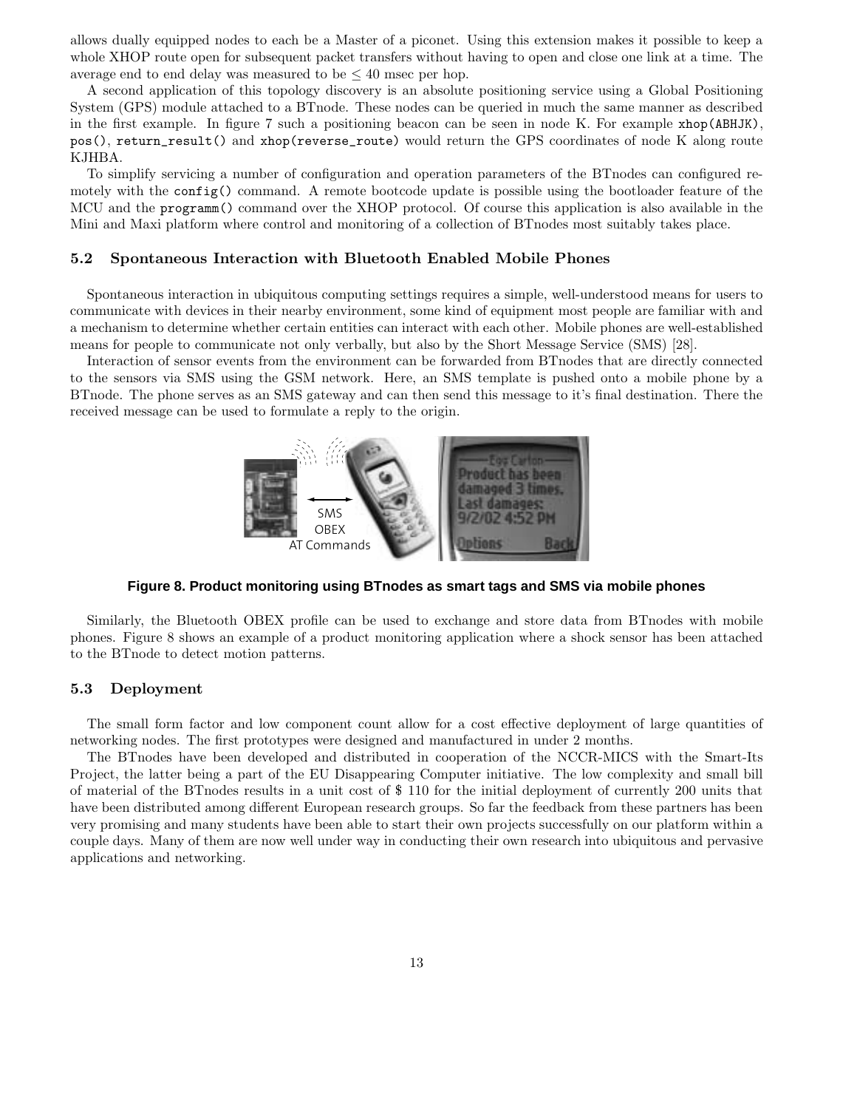allows dually equipped nodes to each be a Master of a piconet. Using this extension makes it possible to keep a whole XHOP route open for subsequent packet transfers without having to open and close one link at a time. The average end to end delay was measured to be  $\leq 40$  msec per hop.

A second application of this topology discovery is an absolute positioning service using a Global Positioning System (GPS) module attached to a BTnode. These nodes can be queried in much the same manner as described in the first example. In figure 7 such a positioning beacon can be seen in node K. For example xhop(ABHJK), pos(), return\_result() and xhop(reverse\_route) would return the GPS coordinates of node K along route KJHBA.

To simplify servicing a number of configuration and operation parameters of the BTnodes can configured remotely with the config() command. A remote bootcode update is possible using the bootloader feature of the MCU and the programm() command over the XHOP protocol. Of course this application is also available in the Mini and Maxi platform where control and monitoring of a collection of BTnodes most suitably takes place.

#### **5.2 Spontaneous Interaction with Bluetooth Enabled Mobile Phones**

Spontaneous interaction in ubiquitous computing settings requires a simple, well-understood means for users to communicate with devices in their nearby environment, some kind of equipment most people are familiar with and a mechanism to determine whether certain entities can interact with each other. Mobile phones are well-established means for people to communicate not only verbally, but also by the Short Message Service (SMS) [28].

Interaction of sensor events from the environment can be forwarded from BTnodes that are directly connected to the sensors via SMS using the GSM network. Here, an SMS template is pushed onto a mobile phone by a BTnode. The phone serves as an SMS gateway and can then send this message to it's final destination. There the received message can be used to formulate a reply to the origin.



**Figure 8. Product monitoring using BTnodes as smart tags and SMS via mobile phones**

Similarly, the Bluetooth OBEX profile can be used to exchange and store data from BTnodes with mobile phones. Figure 8 shows an example of a product monitoring application where a shock sensor has been attached to the BTnode to detect motion patterns.

#### **5.3 Deployment**

The small form factor and low component count allow for a cost effective deployment of large quantities of networking nodes. The first prototypes were designed and manufactured in under 2 months.

The BTnodes have been developed and distributed in cooperation of the NCCR-MICS with the Smart-Its Project, the latter being a part of the EU Disappearing Computer initiative. The low complexity and small bill of material of the BTnodes results in a unit cost of \$ 110 for the initial deployment of currently 200 units that have been distributed among different European research groups. So far the feedback from these partners has been very promising and many students have been able to start their own projects successfully on our platform within a couple days. Many of them are now well under way in conducting their own research into ubiquitous and pervasive applications and networking.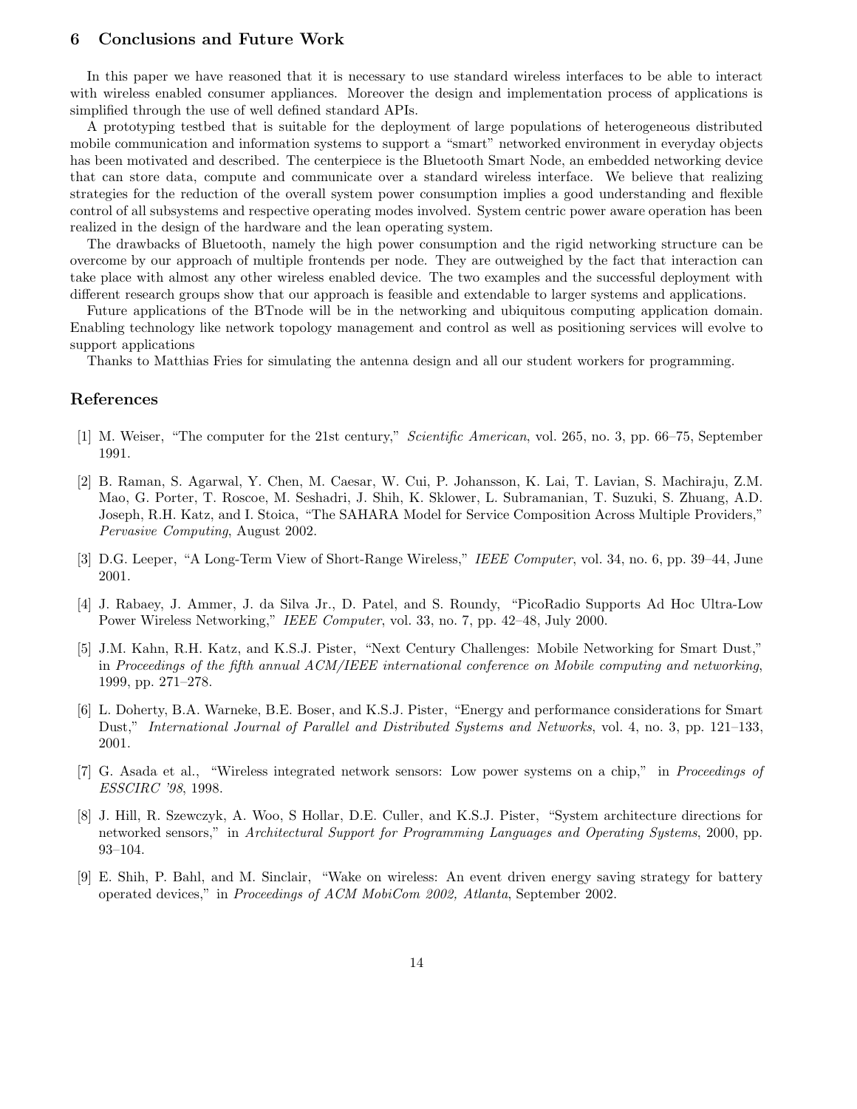# **6 Conclusions and Future Work**

In this paper we have reasoned that it is necessary to use standard wireless interfaces to be able to interact with wireless enabled consumer appliances. Moreover the design and implementation process of applications is simplified through the use of well defined standard APIs.

A prototyping testbed that is suitable for the deployment of large populations of heterogeneous distributed mobile communication and information systems to support a "smart" networked environment in everyday objects has been motivated and described. The centerpiece is the Bluetooth Smart Node, an embedded networking device that can store data, compute and communicate over a standard wireless interface. We believe that realizing strategies for the reduction of the overall system power consumption implies a good understanding and flexible control of all subsystems and respective operating modes involved. System centric power aware operation has been realized in the design of the hardware and the lean operating system.

The drawbacks of Bluetooth, namely the high power consumption and the rigid networking structure can be overcome by our approach of multiple frontends per node. They are outweighed by the fact that interaction can take place with almost any other wireless enabled device. The two examples and the successful deployment with different research groups show that our approach is feasible and extendable to larger systems and applications.

Future applications of the BTnode will be in the networking and ubiquitous computing application domain. Enabling technology like network topology management and control as well as positioning services will evolve to support applications

Thanks to Matthias Fries for simulating the antenna design and all our student workers for programming.

# **References**

- [1] M. Weiser, "The computer for the 21st century," *Scientific American*, vol. 265, no. 3, pp. 66–75, September 1991.
- [2] B. Raman, S. Agarwal, Y. Chen, M. Caesar, W. Cui, P. Johansson, K. Lai, T. Lavian, S. Machiraju, Z.M. Mao, G. Porter, T. Roscoe, M. Seshadri, J. Shih, K. Sklower, L. Subramanian, T. Suzuki, S. Zhuang, A.D. Joseph, R.H. Katz, and I. Stoica, "The SAHARA Model for Service Composition Across Multiple Providers," *Pervasive Computing*, August 2002.
- [3] D.G. Leeper, "A Long-Term View of Short-Range Wireless," *IEEE Computer*, vol. 34, no. 6, pp. 39–44, June 2001.
- [4] J. Rabaey, J. Ammer, J. da Silva Jr., D. Patel, and S. Roundy, "PicoRadio Supports Ad Hoc Ultra-Low Power Wireless Networking," *IEEE Computer*, vol. 33, no. 7, pp. 42–48, July 2000.
- [5] J.M. Kahn, R.H. Katz, and K.S.J. Pister, "Next Century Challenges: Mobile Networking for Smart Dust," in *Proceedings of the fifth annual ACM/IEEE international conference on Mobile computing and networking*, 1999, pp. 271–278.
- [6] L. Doherty, B.A. Warneke, B.E. Boser, and K.S.J. Pister, "Energy and performance considerations for Smart Dust," *International Journal of Parallel and Distributed Systems and Networks*, vol. 4, no. 3, pp. 121–133, 2001.
- [7] G. Asada et al., "Wireless integrated network sensors: Low power systems on a chip," in *Proceedings of ESSCIRC '98*, 1998.
- [8] J. Hill, R. Szewczyk, A. Woo, S Hollar, D.E. Culler, and K.S.J. Pister, "System architecture directions for networked sensors," in *Architectural Support for Programming Languages and Operating Systems*, 2000, pp. 93–104.
- [9] E. Shih, P. Bahl, and M. Sinclair, "Wake on wireless: An event driven energy saving strategy for battery operated devices," in *Proceedings of ACM MobiCom 2002, Atlanta*, September 2002.